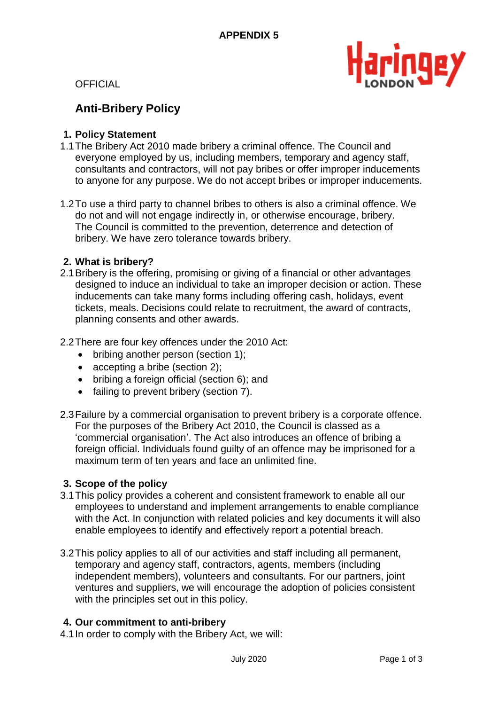

**OFFICIAL** 

# **Anti-Bribery Policy**

#### **1. Policy Statement**

- 1.1The Bribery Act 2010 made bribery a criminal offence. The Council and everyone employed by us, including members, temporary and agency staff, consultants and contractors, will not pay bribes or offer improper inducements to anyone for any purpose. We do not accept bribes or improper inducements.
- 1.2To use a third party to channel bribes to others is also a criminal offence. We do not and will not engage indirectly in, or otherwise encourage, bribery. The Council is committed to the prevention, deterrence and detection of bribery. We have zero tolerance towards bribery.

#### **2. What is bribery?**

- 2.1Bribery is the offering, promising or giving of a financial or other advantages designed to induce an individual to take an improper decision or action. These inducements can take many forms including offering cash, holidays, event tickets, meals. Decisions could relate to recruitment, the award of contracts, planning consents and other awards.
- 2.2There are four key offences under the 2010 Act:
	- bribing another person (section 1);
	- accepting a bribe (section 2);
	- bribing a foreign official (section 6); and
	- failing to prevent bribery (section 7).
- 2.3Failure by a commercial organisation to prevent bribery is a corporate offence. For the purposes of the Bribery Act 2010, the Council is classed as a 'commercial organisation'. The Act also introduces an offence of bribing a foreign official. Individuals found guilty of an offence may be imprisoned for a maximum term of ten years and face an unlimited fine.

#### **3. Scope of the policy**

- 3.1This policy provides a coherent and consistent framework to enable all our employees to understand and implement arrangements to enable compliance with the Act. In conjunction with related policies and key documents it will also enable employees to identify and effectively report a potential breach.
- 3.2This policy applies to all of our activities and staff including all permanent, temporary and agency staff, contractors, agents, members (including independent members), volunteers and consultants. For our partners, joint ventures and suppliers, we will encourage the adoption of policies consistent with the principles set out in this policy.

## **4. Our commitment to anti-bribery**

4.1In order to comply with the Bribery Act, we will: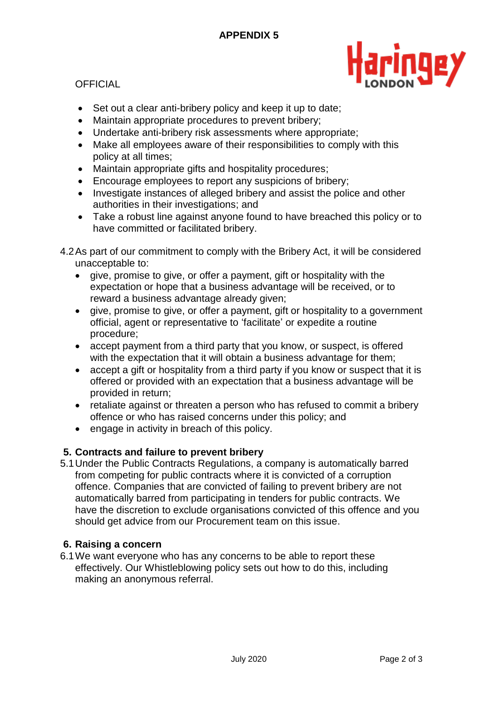

# **OFFICIAL**

- Set out a clear anti-bribery policy and keep it up to date;
- Maintain appropriate procedures to prevent bribery;
- Undertake anti-bribery risk assessments where appropriate;
- Make all employees aware of their responsibilities to comply with this policy at all times;
- Maintain appropriate gifts and hospitality procedures;
- Encourage employees to report any suspicions of bribery;
- Investigate instances of alleged bribery and assist the police and other authorities in their investigations; and
- Take a robust line against anyone found to have breached this policy or to have committed or facilitated bribery.
- 4.2As part of our commitment to comply with the Bribery Act, it will be considered unacceptable to:
	- give, promise to give, or offer a payment, gift or hospitality with the expectation or hope that a business advantage will be received, or to reward a business advantage already given;
	- give, promise to give, or offer a payment, gift or hospitality to a government official, agent or representative to 'facilitate' or expedite a routine procedure;
	- accept payment from a third party that you know, or suspect, is offered with the expectation that it will obtain a business advantage for them;
	- accept a gift or hospitality from a third party if you know or suspect that it is offered or provided with an expectation that a business advantage will be provided in return;
	- retaliate against or threaten a person who has refused to commit a bribery offence or who has raised concerns under this policy; and
	- engage in activity in breach of this policy.

# **5. Contracts and failure to prevent bribery**

5.1Under the Public Contracts Regulations, a company is automatically barred from competing for public contracts where it is convicted of a corruption offence. Companies that are convicted of failing to prevent bribery are not automatically barred from participating in tenders for public contracts. We have the discretion to exclude organisations convicted of this offence and you should get advice from our Procurement team on this issue.

## **6. Raising a concern**

6.1We want everyone who has any concerns to be able to report these effectively. Our Whistleblowing policy sets out how to do this, including making an anonymous referral.